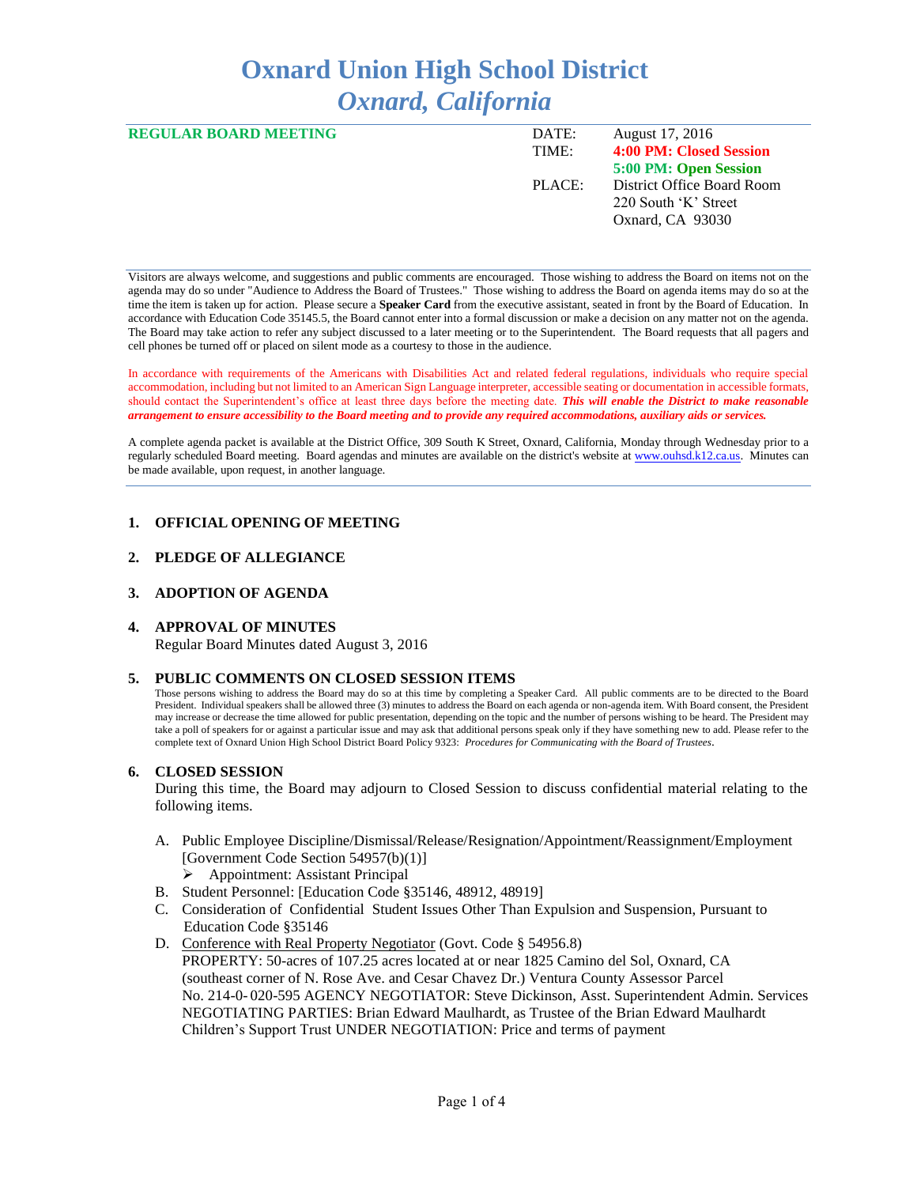# **Oxnard Union High School District** *Oxnard, California*

| <b>REGULAR BOARD MEETING</b> | DATE:<br>TIME: | August 17, 2016<br>4:00 PM: Closed Session                             |
|------------------------------|----------------|------------------------------------------------------------------------|
|                              |                | 5:00 PM: Open Session                                                  |
|                              | PLACE:         | District Office Board Room<br>220 South 'K' Street<br>Oxnard, CA 93030 |

Visitors are always welcome, and suggestions and public comments are encouraged. Those wishing to address the Board on items not on the agenda may do so under "Audience to Address the Board of Trustees." Those wishing to address the Board on agenda items may do so at the time the item is taken up for action. Please secure a **Speaker Card** from the executive assistant, seated in front by the Board of Education. In accordance with Education Code 35145.5, the Board cannot enter into a formal discussion or make a decision on any matter not on the agenda. The Board may take action to refer any subject discussed to a later meeting or to the Superintendent. The Board requests that all pagers and cell phones be turned off or placed on silent mode as a courtesy to those in the audience.

In accordance with requirements of the Americans with Disabilities Act and related federal regulations, individuals who require special accommodation, including but not limited to an American Sign Language interpreter, accessible seating or documentation in accessible formats, should contact the Superintendent's office at least three days before the meeting date. *This will enable the District to make reasonable arrangement to ensure accessibility to the Board meeting and to provide any required accommodations, auxiliary aids or services.* 

A complete agenda packet is available at the District Office, 309 South K Street, Oxnard, California, Monday through Wednesday prior to a regularly scheduled Board meeting. Board agendas and minutes are available on the district's website a[t www.ouhsd.k12.ca.us.](http://www.ouhsd.k12.ca.us/)Minutes can be made available, upon request, in another language.

## **1. OFFICIAL OPENING OF MEETING**

## **2. PLEDGE OF ALLEGIANCE**

## **3. ADOPTION OF AGENDA**

#### **4. APPROVAL OF MINUTES**

Regular Board Minutes dated August 3, 2016

#### **5. PUBLIC COMMENTS ON CLOSED SESSION ITEMS**

Those persons wishing to address the Board may do so at this time by completing a Speaker Card. All public comments are to be directed to the Board President. Individual speakers shall be allowed three (3) minutes to address the Board on each agenda or non-agenda item. With Board consent, the President may increase or decrease the time allowed for public presentation, depending on the topic and the number of persons wishing to be heard. The President may take a poll of speakers for or against a particular issue and may ask that additional persons speak only if they have something new to add. Please refer to the complete text of Oxnard Union High School District Board Policy 9323: *Procedures for Communicating with the Board of Trustees*.

#### **6. CLOSED SESSION**

During this time, the Board may adjourn to Closed Session to discuss confidential material relating to the following items.

- A. Public Employee Discipline/Dismissal/Release/Resignation/Appointment/Reassignment/Employment [Government Code Section 54957(b)(1)]
	- Appointment: Assistant Principal
- B. Student Personnel: [Education Code §35146, 48912, 48919]
- C. Consideration of Confidential Student Issues Other Than Expulsion and Suspension, Pursuant to Education Code §35146
- D. Conference with Real Property Negotiator (Govt. Code § 54956.8) PROPERTY: 50-acres of 107.25 acres located at or near 1825 Camino del Sol, Oxnard, CA (southeast corner of N. Rose Ave. and Cesar Chavez Dr.) Ventura County Assessor Parcel No. 214-0- 020-595 AGENCY NEGOTIATOR: Steve Dickinson, Asst. Superintendent Admin. Services NEGOTIATING PARTIES: Brian Edward Maulhardt, as Trustee of the Brian Edward Maulhardt Children's Support Trust UNDER NEGOTIATION: Price and terms of payment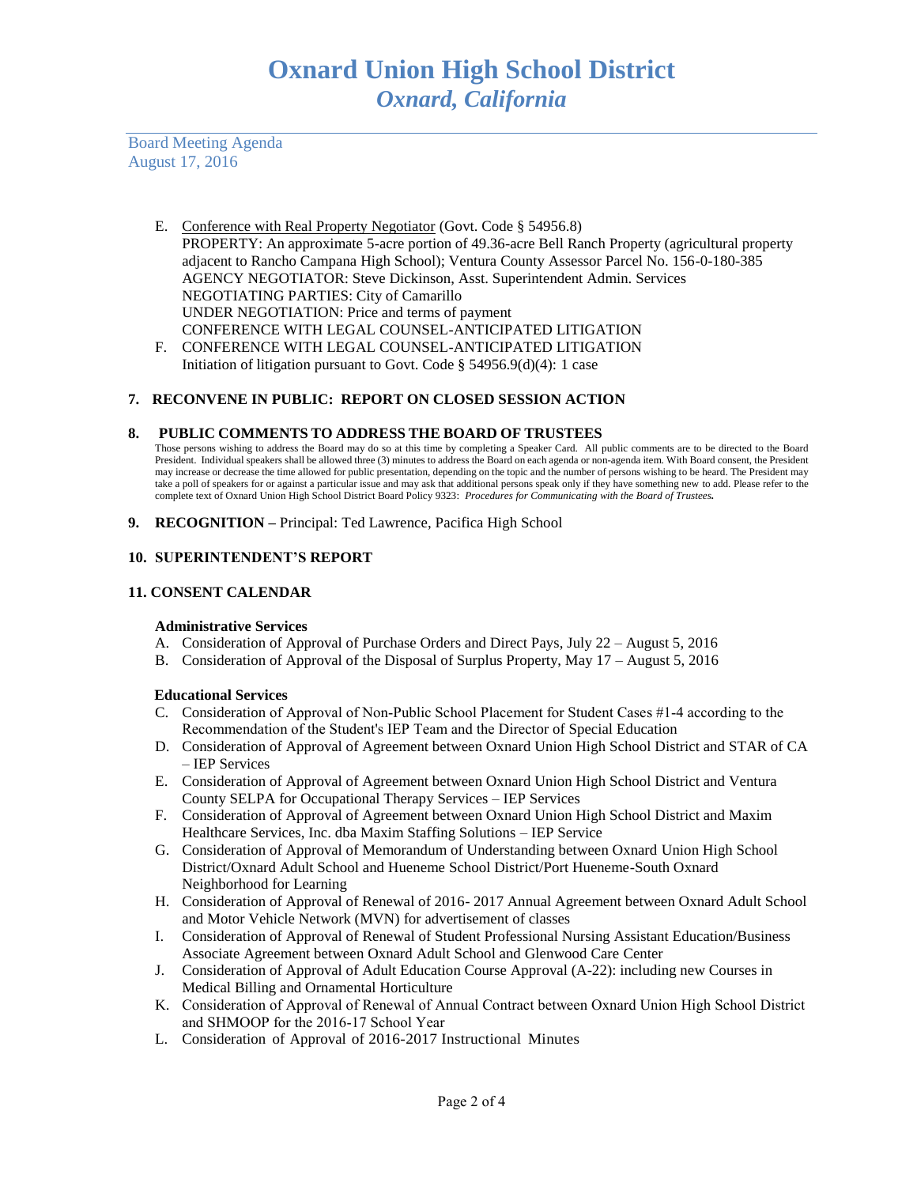Board Meeting Agenda August 17, 2016

- E. Conference with Real Property Negotiator (Govt. Code § 54956.8) PROPERTY: An approximate 5-acre portion of 49.36-acre Bell Ranch Property (agricultural property adjacent to Rancho Campana High School); Ventura County Assessor Parcel No. 156-0-180-385 AGENCY NEGOTIATOR: Steve Dickinson, Asst. Superintendent Admin. Services NEGOTIATING PARTIES: City of Camarillo UNDER NEGOTIATION: Price and terms of payment CONFERENCE WITH LEGAL COUNSEL-ANTICIPATED LITIGATION
- F. CONFERENCE WITH LEGAL COUNSEL-ANTICIPATED LITIGATION Initiation of litigation pursuant to Govt. Code  $\S$  54956.9(d)(4): 1 case

## **7. RECONVENE IN PUBLIC: REPORT ON CLOSED SESSION ACTION**

## **8. PUBLIC COMMENTS TO ADDRESS THE BOARD OF TRUSTEES**

Those persons wishing to address the Board may do so at this time by completing a Speaker Card. All public comments are to be directed to the Board President. Individual speakers shall be allowed three (3) minutes to address the Board on each agenda or non-agenda item. With Board consent, the President may increase or decrease the time allowed for public presentation, depending on the topic and the number of persons wishing to be heard. The President may take a poll of speakers for or against a particular issue and may ask that additional persons speak only if they have something new to add. Please refer to the complete text of Oxnard Union High School District Board Policy 9323: *Procedures for Communicating with the Board of Trustees.*

**9. RECOGNITION –** Principal: Ted Lawrence, Pacifica High School

## **10. SUPERINTENDENT'S REPORT**

## **11. CONSENT CALENDAR**

#### **Administrative Services**

- A. Consideration of Approval of Purchase Orders and Direct Pays, July 22 August 5, 2016
- B. Consideration of Approval of the Disposal of Surplus Property, May 17 August 5, 2016

#### **Educational Services**

- C. Consideration of Approval of Non-Public School Placement for Student Cases #1-4 according to the Recommendation of the Student's IEP Team and the Director of Special Education
- D. Consideration of Approval of Agreement between Oxnard Union High School District and STAR of CA – IEP Services
- E. Consideration of Approval of Agreement between Oxnard Union High School District and Ventura County SELPA for Occupational Therapy Services – IEP Services
- F. Consideration of Approval of Agreement between Oxnard Union High School District and Maxim Healthcare Services, Inc. dba Maxim Staffing Solutions – IEP Service
- G. Consideration of Approval of Memorandum of Understanding between Oxnard Union High School District/Oxnard Adult School and Hueneme School District/Port Hueneme-South Oxnard Neighborhood for Learning
- H. Consideration of Approval of Renewal of 2016- 2017 Annual Agreement between Oxnard Adult School and Motor Vehicle Network (MVN) for advertisement of classes
- I. Consideration of Approval of Renewal of Student Professional Nursing Assistant Education/Business Associate Agreement between Oxnard Adult School and Glenwood Care Center
- J. Consideration of Approval of Adult Education Course Approval (A-22): including new Courses in Medical Billing and Ornamental Horticulture
- K. Consideration of Approval of Renewal of Annual Contract between Oxnard Union High School District and SHMOOP for the 2016-17 School Year
- L. Consideration of Approval of 2016-2017 Instructional Minutes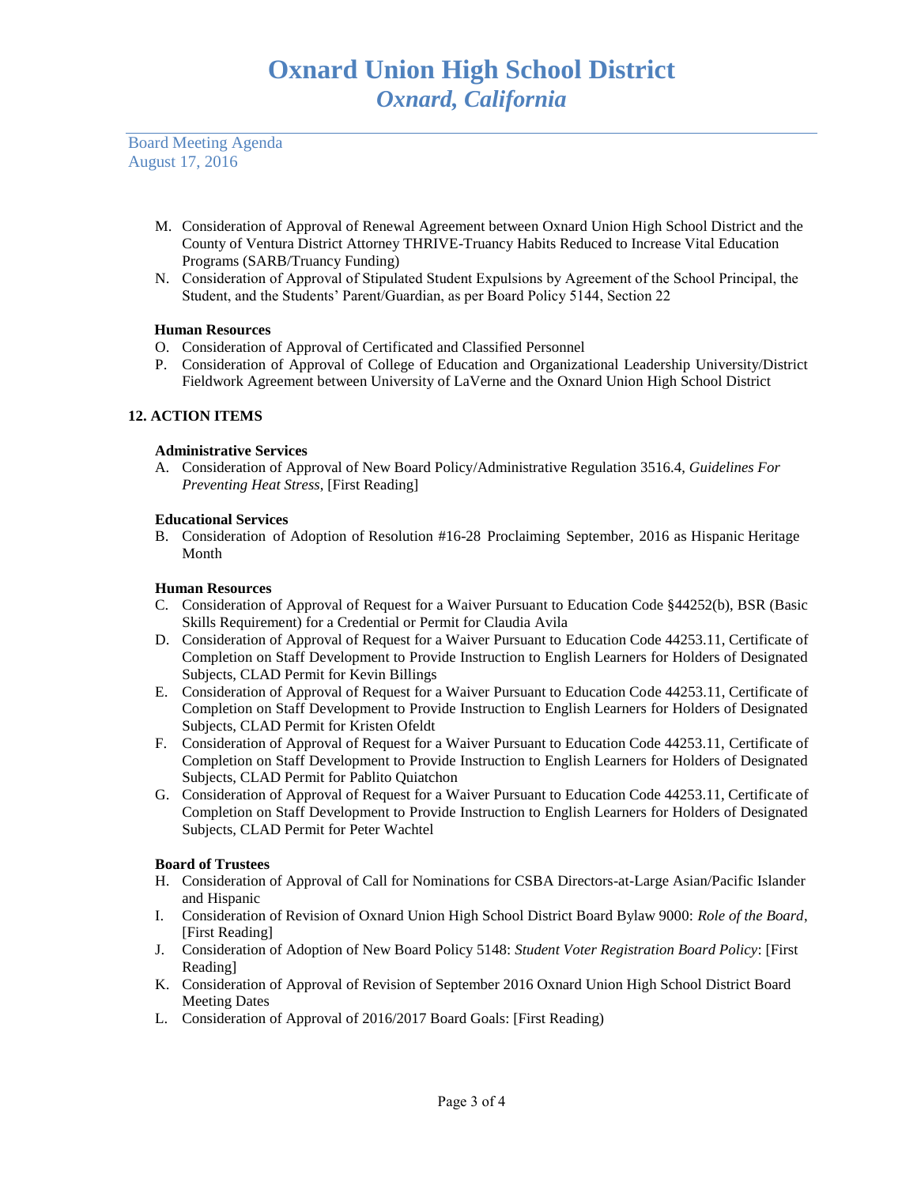Board Meeting Agenda August 17, 2016

- M. Consideration of Approval of Renewal Agreement between Oxnard Union High School District and the County of Ventura District Attorney THRIVE-Truancy Habits Reduced to Increase Vital Education Programs (SARB/Truancy Funding)
- N. Consideration of Approval of Stipulated Student Expulsions by Agreement of the School Principal, the Student, and the Students' Parent/Guardian, as per Board Policy 5144, Section 22

# **Human Resources**

- O. Consideration of Approval of Certificated and Classified Personnel
- P. Consideration of Approval of College of Education and Organizational Leadership University/District Fieldwork Agreement between University of LaVerne and the Oxnard Union High School District

# **12. ACTION ITEMS**

## **Administrative Services**

A. Consideration of Approval of New Board Policy/Administrative Regulation 3516.4, *Guidelines For Preventing Heat Stress*, [First Reading]

## **Educational Services**

B. Consideration of Adoption of Resolution #16-28 Proclaiming September, 2016 as Hispanic Heritage Month

## **Human Resources**

- C. Consideration of Approval of Request for a Waiver Pursuant to Education Code §44252(b), BSR (Basic Skills Requirement) for a Credential or Permit for Claudia Avila
- D. Consideration of Approval of Request for a Waiver Pursuant to Education Code 44253.11, Certificate of Completion on Staff Development to Provide Instruction to English Learners for Holders of Designated Subjects, CLAD Permit for Kevin Billings
- E. Consideration of Approval of Request for a Waiver Pursuant to Education Code 44253.11, Certificate of Completion on Staff Development to Provide Instruction to English Learners for Holders of Designated Subjects, CLAD Permit for Kristen Ofeldt
- F. Consideration of Approval of Request for a Waiver Pursuant to Education Code 44253.11, Certificate of Completion on Staff Development to Provide Instruction to English Learners for Holders of Designated Subjects, CLAD Permit for Pablito Quiatchon
- G. Consideration of Approval of Request for a Waiver Pursuant to Education Code 44253.11, Certificate of Completion on Staff Development to Provide Instruction to English Learners for Holders of Designated Subjects, CLAD Permit for Peter Wachtel

## **Board of Trustees**

- H. Consideration of Approval of Call for Nominations for CSBA Directors-at-Large Asian/Pacific Islander and Hispanic
- I. Consideration of Revision of Oxnard Union High School District Board Bylaw 9000: *Role of the Board*, [First Reading]
- J. Consideration of Adoption of New Board Policy 5148: *Student Voter Registration Board Policy*: [First Reading]
- K. Consideration of Approval of Revision of September 2016 Oxnard Union High School District Board Meeting Dates
- L. Consideration of Approval of 2016/2017 Board Goals: [First Reading)